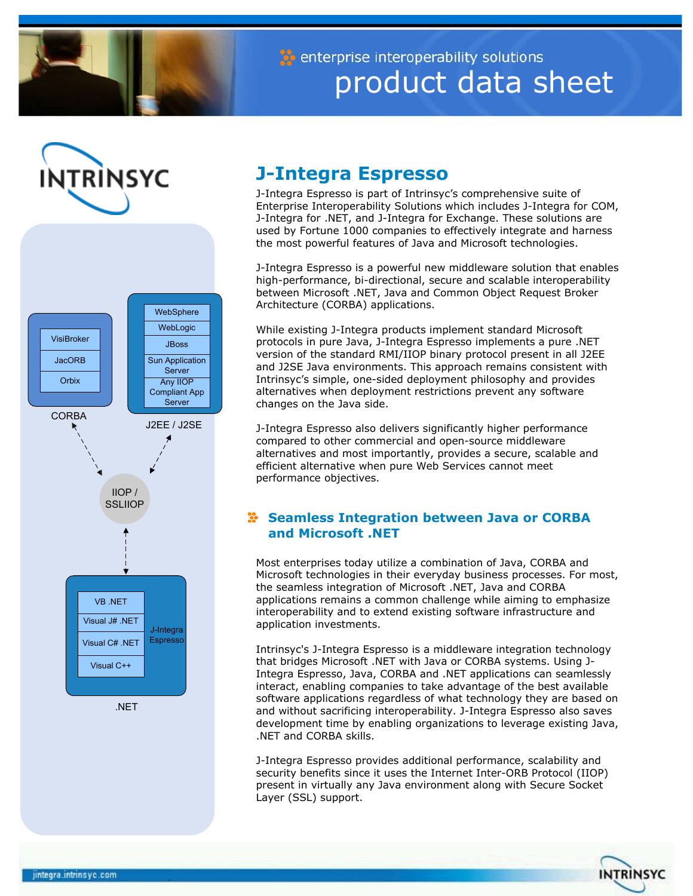

enterprise interoperability solutions product data sheet





# **J-Integra Espresso**

J-Integra Espresso is part of Intrinsyc's comprehensive suite of Enterprise Interoperability Solutions which includes J-Integra for COM, J-Integra for .NET, and J-Integra for Exchange. These solutions are used by Fortune 1000 companies to effectively integrate and harness the most powerful features of Java and Microsoft technologies.

J-Integra Espresso is a powerful new middleware solution that enables high-performance, bi-directional, secure and scalable interoperability between Microsoft .NET, Java and Common Object Request Broker Architecture (CORBA) applications.

While existing J-Integra products implement standard Microsoft protocols in pure Java, J-Integra Espresso implements a pure .NET version of the standard RMI/IIOP binary protocol present in all J2EE and J2SE Java environments. This approach remains consistent with Intrinsyc's simple, one-sided deployment philosophy and provides alternatives when deployment restrictions prevent any software changes on the Java side.

J-Integra Espresso also delivers significantly higher performance compared to other commercial and open-source middleware alternatives and most importantly, provides a secure, scalable and efficient alternative when pure Web Services cannot meet performance objectives.

# **Seamless Integration between Java or CORBA and Microsoft .NET**

Most enterprises today utilize a combination of Java, CORBA and Microsoft technologies in their everyday business processes. For most, the seamless integration of Microsoft .NET, Java and CORBA applications remains a common challenge while aiming to emphasize interoperability and to extend existing software infrastructure and application investments.

Intrinsyc's J-Integra Espresso is a middleware integration technology that bridges Microsoft .NET with Java or CORBA systems. Using J-Integra Espresso, Java, CORBA and .NET applications can seamlessly interact, enabling companies to take advantage of the best available software applications regardless of what technology they are based on and without sacrificing interoperability. J-Integra Espresso also saves development time by enabling organizations to leverage existing Java, .NET and CORBA skills.

J-Integra Espresso provides additional performance, scalability and security benefits since it uses the Internet Inter-ORB Protocol (IIOP) present in virtually any Java environment along with Secure Socket Layer (SSL) support.